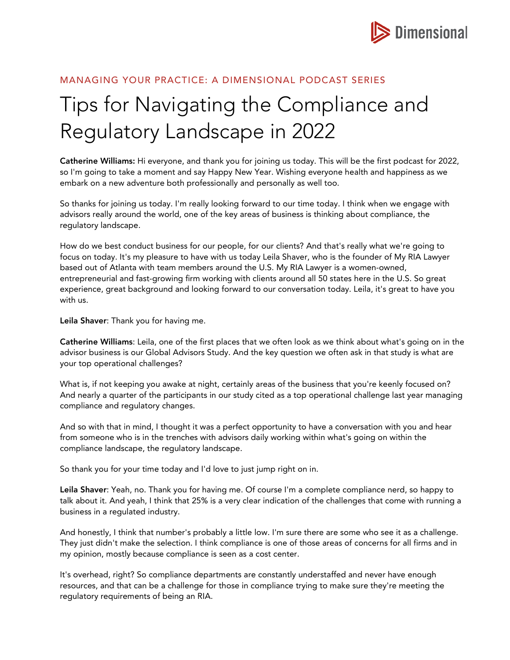

## MANAGING YOUR PRACTICE: A DIMENSIONAL PODCAST SERIES

## Tips for Navigating the Compliance and Regulatory Landscape in 2022

Catherine Williams: Hi everyone, and thank you for joining us today. This will be the first podcast for 2022, so I'm going to take a moment and say Happy New Year. Wishing everyone health and happiness as we embark on a new adventure both professionally and personally as well too.

So thanks for joining us today. I'm really looking forward to our time today. I think when we engage with advisors really around the world, one of the key areas of business is thinking about compliance, the regulatory landscape.

How do we best conduct business for our people, for our clients? And that's really what we're going to focus on today. It's my pleasure to have with us today Leila Shaver, who is the founder of My RIA Lawyer based out of Atlanta with team members around the U.S. My RIA Lawyer is a women-owned, entrepreneurial and fast-growing firm working with clients around all 50 states here in the U.S. So great experience, great background and looking forward to our conversation today. Leila, it's great to have you with us.

Leila Shaver: Thank you for having me.

Catherine Williams: Leila, one of the first places that we often look as we think about what's going on in the advisor business is our Global Advisors Study. And the key question we often ask in that study is what are your top operational challenges?

What is, if not keeping you awake at night, certainly areas of the business that you're keenly focused on? And nearly a quarter of the participants in our study cited as a top operational challenge last year managing compliance and regulatory changes.

And so with that in mind, I thought it was a perfect opportunity to have a conversation with you and hear from someone who is in the trenches with advisors daily working within what's going on within the compliance landscape, the regulatory landscape.

So thank you for your time today and I'd love to just jump right on in.

Leila Shaver: Yeah, no. Thank you for having me. Of course I'm a complete compliance nerd, so happy to talk about it. And yeah, I think that 25% is a very clear indication of the challenges that come with running a business in a regulated industry.

And honestly, I think that number's probably a little low. I'm sure there are some who see it as a challenge. They just didn't make the selection. I think compliance is one of those areas of concerns for all firms and in my opinion, mostly because compliance is seen as a cost center.

It's overhead, right? So compliance departments are constantly understaffed and never have enough resources, and that can be a challenge for those in compliance trying to make sure they're meeting the regulatory requirements of being an RIA.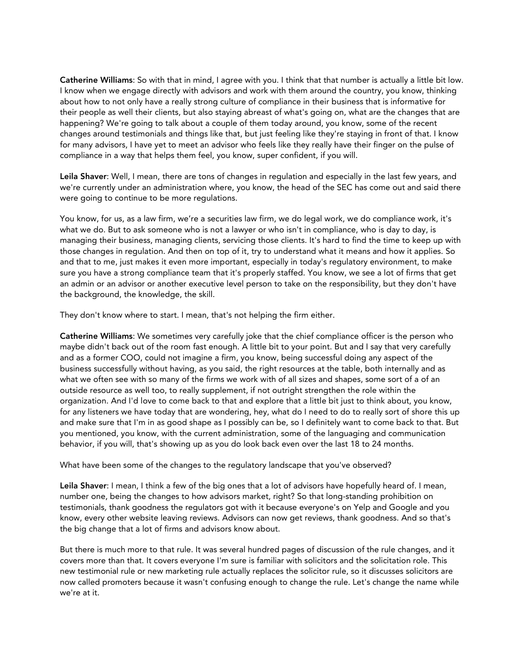Catherine Williams: So with that in mind, I agree with you. I think that that number is actually a little bit low. I know when we engage directly with advisors and work with them around the country, you know, thinking about how to not only have a really strong culture of compliance in their business that is informative for their people as well their clients, but also staying abreast of what's going on, what are the changes that are happening? We're going to talk about a couple of them today around, you know, some of the recent changes around testimonials and things like that, but just feeling like they're staying in front of that. I know for many advisors, I have yet to meet an advisor who feels like they really have their finger on the pulse of compliance in a way that helps them feel, you know, super confident, if you will.

Leila Shaver: Well, I mean, there are tons of changes in regulation and especially in the last few years, and we're currently under an administration where, you know, the head of the SEC has come out and said there were going to continue to be more regulations.

You know, for us, as a law firm, we're a securities law firm, we do legal work, we do compliance work, it's what we do. But to ask someone who is not a lawyer or who isn't in compliance, who is day to day, is managing their business, managing clients, servicing those clients. It's hard to find the time to keep up with those changes in regulation. And then on top of it, try to understand what it means and how it applies. So and that to me, just makes it even more important, especially in today's regulatory environment, to make sure you have a strong compliance team that it's properly staffed. You know, we see a lot of firms that get an admin or an advisor or another executive level person to take on the responsibility, but they don't have the background, the knowledge, the skill.

They don't know where to start. I mean, that's not helping the firm either.

Catherine Williams: We sometimes very carefully joke that the chief compliance officer is the person who maybe didn't back out of the room fast enough. A little bit to your point. But and I say that very carefully and as a former COO, could not imagine a firm, you know, being successful doing any aspect of the business successfully without having, as you said, the right resources at the table, both internally and as what we often see with so many of the firms we work with of all sizes and shapes, some sort of a of an outside resource as well too, to really supplement, if not outright strengthen the role within the organization. And I'd love to come back to that and explore that a little bit just to think about, you know, for any listeners we have today that are wondering, hey, what do I need to do to really sort of shore this up and make sure that I'm in as good shape as I possibly can be, so I definitely want to come back to that. But you mentioned, you know, with the current administration, some of the languaging and communication behavior, if you will, that's showing up as you do look back even over the last 18 to 24 months.

What have been some of the changes to the regulatory landscape that you've observed?

Leila Shaver: I mean, I think a few of the big ones that a lot of advisors have hopefully heard of. I mean, number one, being the changes to how advisors market, right? So that long-standing prohibition on testimonials, thank goodness the regulators got with it because everyone's on Yelp and Google and you know, every other website leaving reviews. Advisors can now get reviews, thank goodness. And so that's the big change that a lot of firms and advisors know about.

But there is much more to that rule. It was several hundred pages of discussion of the rule changes, and it covers more than that. It covers everyone I'm sure is familiar with solicitors and the solicitation role. This new testimonial rule or new marketing rule actually replaces the solicitor rule, so it discusses solicitors are now called promoters because it wasn't confusing enough to change the rule. Let's change the name while we're at it.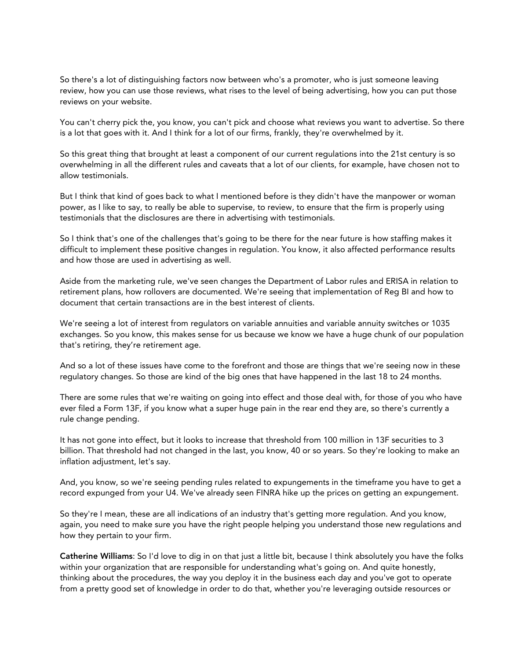So there's a lot of distinguishing factors now between who's a promoter, who is just someone leaving review, how you can use those reviews, what rises to the level of being advertising, how you can put those reviews on your website.

You can't cherry pick the, you know, you can't pick and choose what reviews you want to advertise. So there is a lot that goes with it. And I think for a lot of our firms, frankly, they're overwhelmed by it.

So this great thing that brought at least a component of our current regulations into the 21st century is so overwhelming in all the different rules and caveats that a lot of our clients, for example, have chosen not to allow testimonials.

But I think that kind of goes back to what I mentioned before is they didn't have the manpower or woman power, as I like to say, to really be able to supervise, to review, to ensure that the firm is properly using testimonials that the disclosures are there in advertising with testimonials.

So I think that's one of the challenges that's going to be there for the near future is how staffing makes it difficult to implement these positive changes in regulation. You know, it also affected performance results and how those are used in advertising as well.

Aside from the marketing rule, we've seen changes the Department of Labor rules and ERISA in relation to retirement plans, how rollovers are documented. We're seeing that implementation of Reg BI and how to document that certain transactions are in the best interest of clients.

We're seeing a lot of interest from regulators on variable annuities and variable annuity switches or 1035 exchanges. So you know, this makes sense for us because we know we have a huge chunk of our population that's retiring, they're retirement age.

And so a lot of these issues have come to the forefront and those are things that we're seeing now in these regulatory changes. So those are kind of the big ones that have happened in the last 18 to 24 months.

There are some rules that we're waiting on going into effect and those deal with, for those of you who have ever filed a Form 13F, if you know what a super huge pain in the rear end they are, so there's currently a rule change pending.

It has not gone into effect, but it looks to increase that threshold from 100 million in 13F securities to 3 billion. That threshold had not changed in the last, you know, 40 or so years. So they're looking to make an inflation adjustment, let's say.

And, you know, so we're seeing pending rules related to expungements in the timeframe you have to get a record expunged from your U4. We've already seen FINRA hike up the prices on getting an expungement.

So they're I mean, these are all indications of an industry that's getting more regulation. And you know, again, you need to make sure you have the right people helping you understand those new regulations and how they pertain to your firm.

Catherine Williams: So I'd love to dig in on that just a little bit, because I think absolutely you have the folks within your organization that are responsible for understanding what's going on. And quite honestly, thinking about the procedures, the way you deploy it in the business each day and you've got to operate from a pretty good set of knowledge in order to do that, whether you're leveraging outside resources or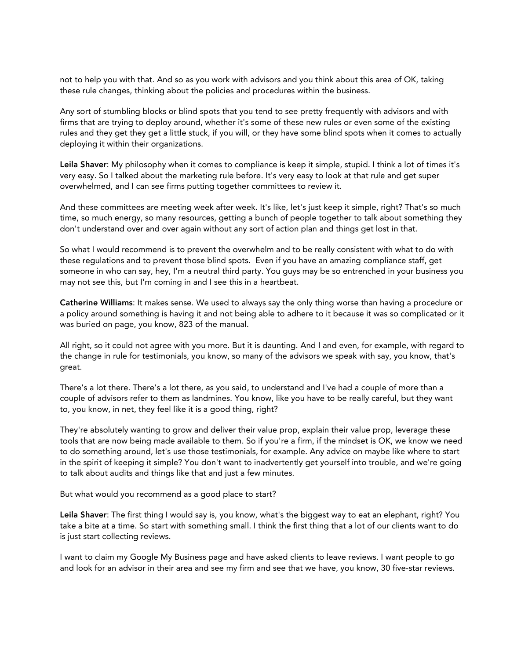not to help you with that. And so as you work with advisors and you think about this area of OK, taking these rule changes, thinking about the policies and procedures within the business.

Any sort of stumbling blocks or blind spots that you tend to see pretty frequently with advisors and with firms that are trying to deploy around, whether it's some of these new rules or even some of the existing rules and they get they get a little stuck, if you will, or they have some blind spots when it comes to actually deploying it within their organizations.

Leila Shaver: My philosophy when it comes to compliance is keep it simple, stupid. I think a lot of times it's very easy. So I talked about the marketing rule before. It's very easy to look at that rule and get super overwhelmed, and I can see firms putting together committees to review it.

And these committees are meeting week after week. It's like, let's just keep it simple, right? That's so much time, so much energy, so many resources, getting a bunch of people together to talk about something they don't understand over and over again without any sort of action plan and things get lost in that.

So what I would recommend is to prevent the overwhelm and to be really consistent with what to do with these regulations and to prevent those blind spots. Even if you have an amazing compliance staff, get someone in who can say, hey, I'm a neutral third party. You guys may be so entrenched in your business you may not see this, but I'm coming in and I see this in a heartbeat.

Catherine Williams: It makes sense. We used to always say the only thing worse than having a procedure or a policy around something is having it and not being able to adhere to it because it was so complicated or it was buried on page, you know, 823 of the manual.

All right, so it could not agree with you more. But it is daunting. And I and even, for example, with regard to the change in rule for testimonials, you know, so many of the advisors we speak with say, you know, that's great.

There's a lot there. There's a lot there, as you said, to understand and I've had a couple of more than a couple of advisors refer to them as landmines. You know, like you have to be really careful, but they want to, you know, in net, they feel like it is a good thing, right?

They're absolutely wanting to grow and deliver their value prop, explain their value prop, leverage these tools that are now being made available to them. So if you're a firm, if the mindset is OK, we know we need to do something around, let's use those testimonials, for example. Any advice on maybe like where to start in the spirit of keeping it simple? You don't want to inadvertently get yourself into trouble, and we're going to talk about audits and things like that and just a few minutes.

But what would you recommend as a good place to start?

Leila Shaver: The first thing I would say is, you know, what's the biggest way to eat an elephant, right? You take a bite at a time. So start with something small. I think the first thing that a lot of our clients want to do is just start collecting reviews.

I want to claim my Google My Business page and have asked clients to leave reviews. I want people to go and look for an advisor in their area and see my firm and see that we have, you know, 30 five-star reviews.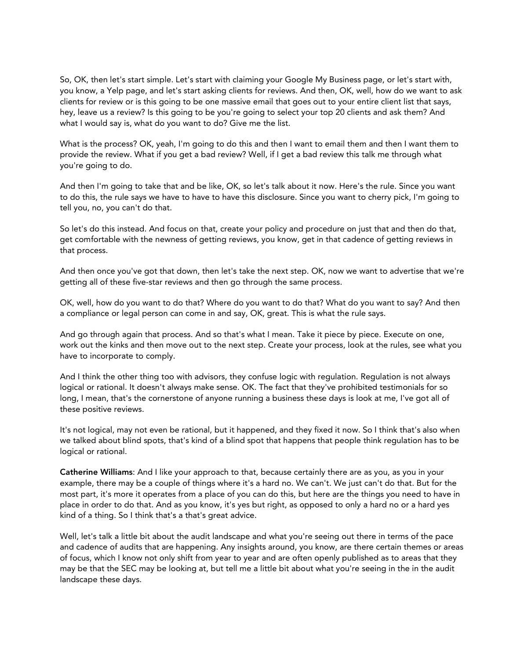So, OK, then let's start simple. Let's start with claiming your Google My Business page, or let's start with, you know, a Yelp page, and let's start asking clients for reviews. And then, OK, well, how do we want to ask clients for review or is this going to be one massive email that goes out to your entire client list that says, hey, leave us a review? Is this going to be you're going to select your top 20 clients and ask them? And what I would say is, what do you want to do? Give me the list.

What is the process? OK, yeah, I'm going to do this and then I want to email them and then I want them to provide the review. What if you get a bad review? Well, if I get a bad review this talk me through what you're going to do.

And then I'm going to take that and be like, OK, so let's talk about it now. Here's the rule. Since you want to do this, the rule says we have to have to have this disclosure. Since you want to cherry pick, I'm going to tell you, no, you can't do that.

So let's do this instead. And focus on that, create your policy and procedure on just that and then do that, get comfortable with the newness of getting reviews, you know, get in that cadence of getting reviews in that process.

And then once you've got that down, then let's take the next step. OK, now we want to advertise that we're getting all of these five-star reviews and then go through the same process.

OK, well, how do you want to do that? Where do you want to do that? What do you want to say? And then a compliance or legal person can come in and say, OK, great. This is what the rule says.

And go through again that process. And so that's what I mean. Take it piece by piece. Execute on one, work out the kinks and then move out to the next step. Create your process, look at the rules, see what you have to incorporate to comply.

And I think the other thing too with advisors, they confuse logic with regulation. Regulation is not always logical or rational. It doesn't always make sense. OK. The fact that they've prohibited testimonials for so long, I mean, that's the cornerstone of anyone running a business these days is look at me, I've got all of these positive reviews.

It's not logical, may not even be rational, but it happened, and they fixed it now. So I think that's also when we talked about blind spots, that's kind of a blind spot that happens that people think regulation has to be logical or rational.

Catherine Williams: And I like your approach to that, because certainly there are as you, as you in your example, there may be a couple of things where it's a hard no. We can't. We just can't do that. But for the most part, it's more it operates from a place of you can do this, but here are the things you need to have in place in order to do that. And as you know, it's yes but right, as opposed to only a hard no or a hard yes kind of a thing. So I think that's a that's great advice.

Well, let's talk a little bit about the audit landscape and what you're seeing out there in terms of the pace and cadence of audits that are happening. Any insights around, you know, are there certain themes or areas of focus, which I know not only shift from year to year and are often openly published as to areas that they may be that the SEC may be looking at, but tell me a little bit about what you're seeing in the in the audit landscape these days.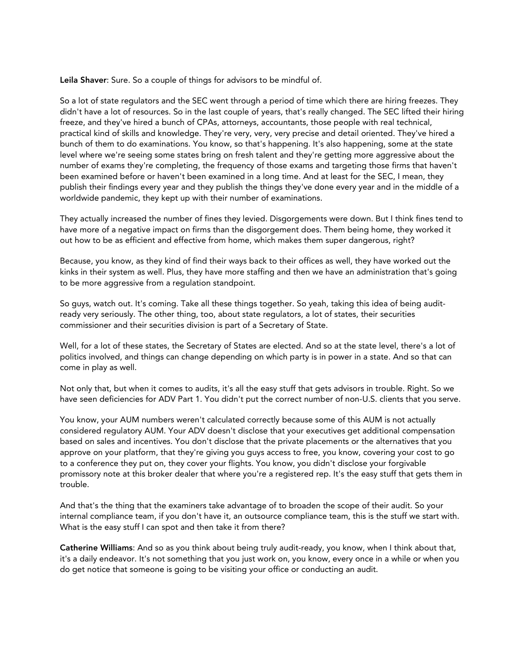Leila Shaver: Sure. So a couple of things for advisors to be mindful of.

So a lot of state regulators and the SEC went through a period of time which there are hiring freezes. They didn't have a lot of resources. So in the last couple of years, that's really changed. The SEC lifted their hiring freeze, and they've hired a bunch of CPAs, attorneys, accountants, those people with real technical, practical kind of skills and knowledge. They're very, very, very precise and detail oriented. They've hired a bunch of them to do examinations. You know, so that's happening. It's also happening, some at the state level where we're seeing some states bring on fresh talent and they're getting more aggressive about the number of exams they're completing, the frequency of those exams and targeting those firms that haven't been examined before or haven't been examined in a long time. And at least for the SEC, I mean, they publish their findings every year and they publish the things they've done every year and in the middle of a worldwide pandemic, they kept up with their number of examinations.

They actually increased the number of fines they levied. Disgorgements were down. But I think fines tend to have more of a negative impact on firms than the disgorgement does. Them being home, they worked it out how to be as efficient and effective from home, which makes them super dangerous, right?

Because, you know, as they kind of find their ways back to their offices as well, they have worked out the kinks in their system as well. Plus, they have more staffing and then we have an administration that's going to be more aggressive from a regulation standpoint.

So guys, watch out. It's coming. Take all these things together. So yeah, taking this idea of being auditready very seriously. The other thing, too, about state regulators, a lot of states, their securities commissioner and their securities division is part of a Secretary of State.

Well, for a lot of these states, the Secretary of States are elected. And so at the state level, there's a lot of politics involved, and things can change depending on which party is in power in a state. And so that can come in play as well.

Not only that, but when it comes to audits, it's all the easy stuff that gets advisors in trouble. Right. So we have seen deficiencies for ADV Part 1. You didn't put the correct number of non-U.S. clients that you serve.

You know, your AUM numbers weren't calculated correctly because some of this AUM is not actually considered regulatory AUM. Your ADV doesn't disclose that your executives get additional compensation based on sales and incentives. You don't disclose that the private placements or the alternatives that you approve on your platform, that they're giving you guys access to free, you know, covering your cost to go to a conference they put on, they cover your flights. You know, you didn't disclose your forgivable promissory note at this broker dealer that where you're a registered rep. It's the easy stuff that gets them in trouble.

And that's the thing that the examiners take advantage of to broaden the scope of their audit. So your internal compliance team, if you don't have it, an outsource compliance team, this is the stuff we start with. What is the easy stuff I can spot and then take it from there?

Catherine Williams: And so as you think about being truly audit-ready, you know, when I think about that, it's a daily endeavor. It's not something that you just work on, you know, every once in a while or when you do get notice that someone is going to be visiting your office or conducting an audit.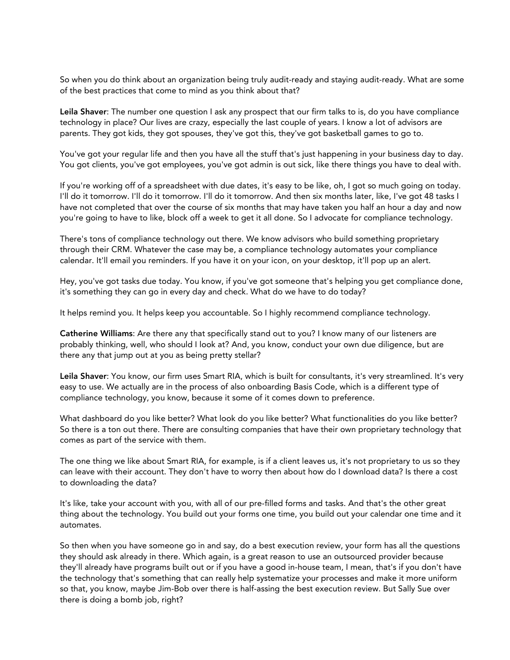So when you do think about an organization being truly audit-ready and staying audit-ready. What are some of the best practices that come to mind as you think about that?

Leila Shaver: The number one question I ask any prospect that our firm talks to is, do you have compliance technology in place? Our lives are crazy, especially the last couple of years. I know a lot of advisors are parents. They got kids, they got spouses, they've got this, they've got basketball games to go to.

You've got your regular life and then you have all the stuff that's just happening in your business day to day. You got clients, you've got employees, you've got admin is out sick, like there things you have to deal with.

If you're working off of a spreadsheet with due dates, it's easy to be like, oh, I got so much going on today. I'll do it tomorrow. I'll do it tomorrow. I'll do it tomorrow. And then six months later, like, I've got 48 tasks I have not completed that over the course of six months that may have taken you half an hour a day and now you're going to have to like, block off a week to get it all done. So I advocate for compliance technology.

There's tons of compliance technology out there. We know advisors who build something proprietary through their CRM. Whatever the case may be, a compliance technology automates your compliance calendar. It'll email you reminders. If you have it on your icon, on your desktop, it'll pop up an alert.

Hey, you've got tasks due today. You know, if you've got someone that's helping you get compliance done, it's something they can go in every day and check. What do we have to do today?

It helps remind you. It helps keep you accountable. So I highly recommend compliance technology.

Catherine Williams: Are there any that specifically stand out to you? I know many of our listeners are probably thinking, well, who should I look at? And, you know, conduct your own due diligence, but are there any that jump out at you as being pretty stellar?

Leila Shaver: You know, our firm uses Smart RIA, which is built for consultants, it's very streamlined. It's very easy to use. We actually are in the process of also onboarding Basis Code, which is a different type of compliance technology, you know, because it some of it comes down to preference.

What dashboard do you like better? What look do you like better? What functionalities do you like better? So there is a ton out there. There are consulting companies that have their own proprietary technology that comes as part of the service with them.

The one thing we like about Smart RIA, for example, is if a client leaves us, it's not proprietary to us so they can leave with their account. They don't have to worry then about how do I download data? Is there a cost to downloading the data?

It's like, take your account with you, with all of our pre-filled forms and tasks. And that's the other great thing about the technology. You build out your forms one time, you build out your calendar one time and it automates.

So then when you have someone go in and say, do a best execution review, your form has all the questions they should ask already in there. Which again, is a great reason to use an outsourced provider because they'll already have programs built out or if you have a good in-house team, I mean, that's if you don't have the technology that's something that can really help systematize your processes and make it more uniform so that, you know, maybe Jim-Bob over there is half-assing the best execution review. But Sally Sue over there is doing a bomb job, right?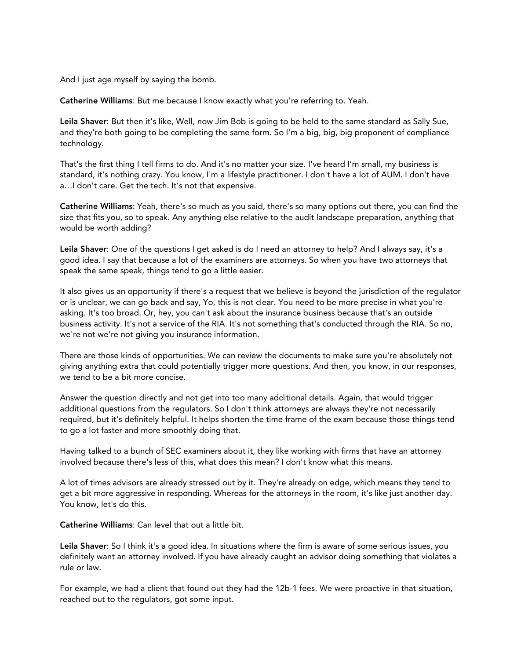And I just age myself by saying the bomb.

Catherine Williams: But me because I know exactly what you're referring to. Yeah.

Leila Shaver: But then it's like, Well, now Jim Bob is going to be held to the same standard as Sally Sue, and they're both going to be completing the same form. So I'm a big, big, big proponent of compliance technology.

That's the first thing I tell firms to do. And it's no matter your size. I've heard I'm small, my business is standard, it's nothing crazy. You know, I'm a lifestyle practitioner. I don't have a lot of AUM. I don't have a…I don't care. Get the tech. It's not that expensive.

Catherine Williams: Yeah, there's so much as you said, there's so many options out there, you can find the size that fits you, so to speak. Any anything else relative to the audit landscape preparation, anything that would be worth adding?

Leila Shaver: One of the questions I get asked is do I need an attorney to help? And I always say, it's a good idea. I say that because a lot of the examiners are attorneys. So when you have two attorneys that speak the same speak, things tend to go a little easier.

It also gives us an opportunity if there's a request that we believe is beyond the jurisdiction of the regulator or is unclear, we can go back and say, Yo, this is not clear. You need to be more precise in what you're asking. It's too broad. Or, hey, you can't ask about the insurance business because that's an outside business activity. It's not a service of the RIA. It's not something that's conducted through the RIA. So no, we're not we're not giving you insurance information.

There are those kinds of opportunities. We can review the documents to make sure you're absolutely not giving anything extra that could potentially trigger more questions. And then, you know, in our responses, we tend to be a bit more concise.

Answer the question directly and not get into too many additional details. Again, that would trigger additional questions from the regulators. So I don't think attorneys are always they're not necessarily required, but it's definitely helpful. It helps shorten the time frame of the exam because those things tend to go a lot faster and more smoothly doing that.

Having talked to a bunch of SEC examiners about it, they like working with firms that have an attorney involved because there's less of this, what does this mean? I don't know what this means.

A lot of times advisors are already stressed out by it. They're already on edge, which means they tend to get a bit more aggressive in responding. Whereas for the attorneys in the room, it's like just another day. You know, let's do this.

Catherine Williams: Can level that out a little bit.

Leila Shaver: So I think it's a good idea. In situations where the firm is aware of some serious issues, you definitely want an attorney involved. If you have already caught an advisor doing something that violates a rule or law.

For example, we had a client that found out they had the 12b-1 fees. We were proactive in that situation, reached out to the regulators, got some input.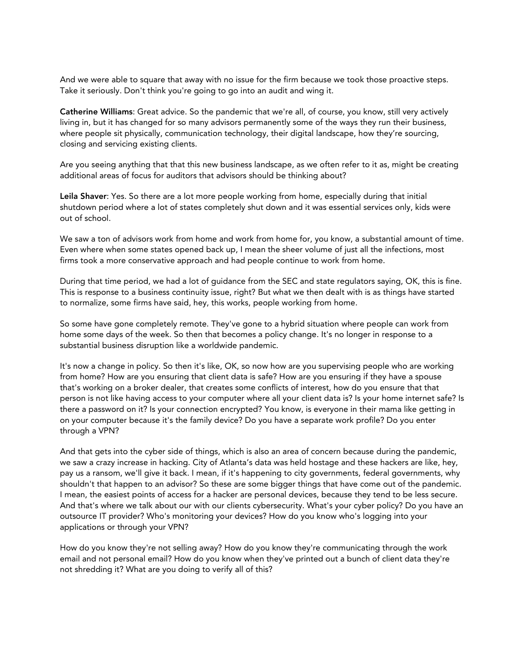And we were able to square that away with no issue for the firm because we took those proactive steps. Take it seriously. Don't think you're going to go into an audit and wing it.

Catherine Williams: Great advice. So the pandemic that we're all, of course, you know, still very actively living in, but it has changed for so many advisors permanently some of the ways they run their business, where people sit physically, communication technology, their digital landscape, how they're sourcing, closing and servicing existing clients.

Are you seeing anything that that this new business landscape, as we often refer to it as, might be creating additional areas of focus for auditors that advisors should be thinking about?

Leila Shaver: Yes. So there are a lot more people working from home, especially during that initial shutdown period where a lot of states completely shut down and it was essential services only, kids were out of school.

We saw a ton of advisors work from home and work from home for, you know, a substantial amount of time. Even where when some states opened back up, I mean the sheer volume of just all the infections, most firms took a more conservative approach and had people continue to work from home.

During that time period, we had a lot of guidance from the SEC and state regulators saying, OK, this is fine. This is response to a business continuity issue, right? But what we then dealt with is as things have started to normalize, some firms have said, hey, this works, people working from home.

So some have gone completely remote. They've gone to a hybrid situation where people can work from home some days of the week. So then that becomes a policy change. It's no longer in response to a substantial business disruption like a worldwide pandemic.

It's now a change in policy. So then it's like, OK, so now how are you supervising people who are working from home? How are you ensuring that client data is safe? How are you ensuring if they have a spouse that's working on a broker dealer, that creates some conflicts of interest, how do you ensure that that person is not like having access to your computer where all your client data is? Is your home internet safe? Is there a password on it? Is your connection encrypted? You know, is everyone in their mama like getting in on your computer because it's the family device? Do you have a separate work profile? Do you enter through a VPN?

And that gets into the cyber side of things, which is also an area of concern because during the pandemic, we saw a crazy increase in hacking. City of Atlanta's data was held hostage and these hackers are like, hey, pay us a ransom, we'll give it back. I mean, if it's happening to city governments, federal governments, why shouldn't that happen to an advisor? So these are some bigger things that have come out of the pandemic. I mean, the easiest points of access for a hacker are personal devices, because they tend to be less secure. And that's where we talk about our with our clients cybersecurity. What's your cyber policy? Do you have an outsource IT provider? Who's monitoring your devices? How do you know who's logging into your applications or through your VPN?

How do you know they're not selling away? How do you know they're communicating through the work email and not personal email? How do you know when they've printed out a bunch of client data they're not shredding it? What are you doing to verify all of this?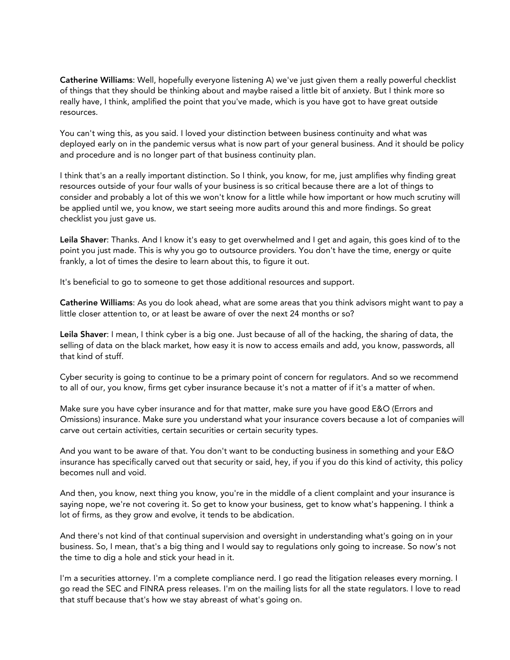Catherine Williams: Well, hopefully everyone listening A) we've just given them a really powerful checklist of things that they should be thinking about and maybe raised a little bit of anxiety. But I think more so really have, I think, amplified the point that you've made, which is you have got to have great outside resources.

You can't wing this, as you said. I loved your distinction between business continuity and what was deployed early on in the pandemic versus what is now part of your general business. And it should be policy and procedure and is no longer part of that business continuity plan.

I think that's an a really important distinction. So I think, you know, for me, just amplifies why finding great resources outside of your four walls of your business is so critical because there are a lot of things to consider and probably a lot of this we won't know for a little while how important or how much scrutiny will be applied until we, you know, we start seeing more audits around this and more findings. So great checklist you just gave us.

Leila Shaver: Thanks. And I know it's easy to get overwhelmed and I get and again, this goes kind of to the point you just made. This is why you go to outsource providers. You don't have the time, energy or quite frankly, a lot of times the desire to learn about this, to figure it out.

It's beneficial to go to someone to get those additional resources and support.

Catherine Williams: As you do look ahead, what are some areas that you think advisors might want to pay a little closer attention to, or at least be aware of over the next 24 months or so?

Leila Shaver: I mean, I think cyber is a big one. Just because of all of the hacking, the sharing of data, the selling of data on the black market, how easy it is now to access emails and add, you know, passwords, all that kind of stuff.

Cyber security is going to continue to be a primary point of concern for regulators. And so we recommend to all of our, you know, firms get cyber insurance because it's not a matter of if it's a matter of when.

Make sure you have cyber insurance and for that matter, make sure you have good E&O (Errors and Omissions) insurance. Make sure you understand what your insurance covers because a lot of companies will carve out certain activities, certain securities or certain security types.

And you want to be aware of that. You don't want to be conducting business in something and your E&O insurance has specifically carved out that security or said, hey, if you if you do this kind of activity, this policy becomes null and void.

And then, you know, next thing you know, you're in the middle of a client complaint and your insurance is saying nope, we're not covering it. So get to know your business, get to know what's happening. I think a lot of firms, as they grow and evolve, it tends to be abdication.

And there's not kind of that continual supervision and oversight in understanding what's going on in your business. So, I mean, that's a big thing and I would say to regulations only going to increase. So now's not the time to dig a hole and stick your head in it.

I'm a securities attorney. I'm a complete compliance nerd. I go read the litigation releases every morning. I go read the SEC and FINRA press releases. I'm on the mailing lists for all the state regulators. I love to read that stuff because that's how we stay abreast of what's going on.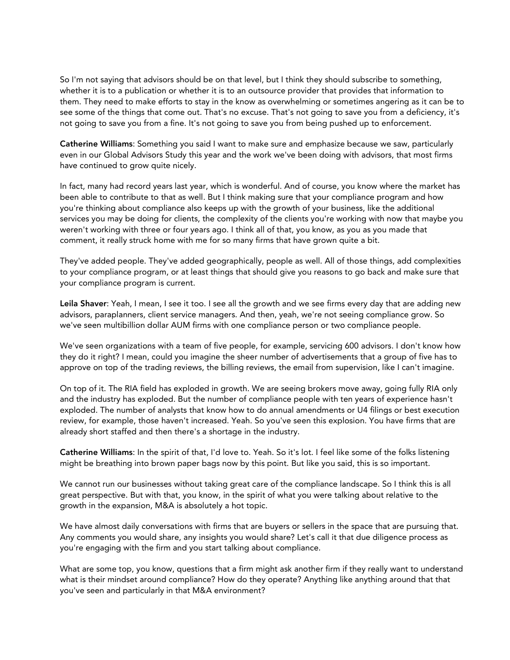So I'm not saying that advisors should be on that level, but I think they should subscribe to something, whether it is to a publication or whether it is to an outsource provider that provides that information to them. They need to make efforts to stay in the know as overwhelming or sometimes angering as it can be to see some of the things that come out. That's no excuse. That's not going to save you from a deficiency, it's not going to save you from a fine. It's not going to save you from being pushed up to enforcement.

Catherine Williams: Something you said I want to make sure and emphasize because we saw, particularly even in our Global Advisors Study this year and the work we've been doing with advisors, that most firms have continued to grow quite nicely.

In fact, many had record years last year, which is wonderful. And of course, you know where the market has been able to contribute to that as well. But I think making sure that your compliance program and how you're thinking about compliance also keeps up with the growth of your business, like the additional services you may be doing for clients, the complexity of the clients you're working with now that maybe you weren't working with three or four years ago. I think all of that, you know, as you as you made that comment, it really struck home with me for so many firms that have grown quite a bit.

They've added people. They've added geographically, people as well. All of those things, add complexities to your compliance program, or at least things that should give you reasons to go back and make sure that your compliance program is current.

Leila Shaver: Yeah, I mean, I see it too. I see all the growth and we see firms every day that are adding new advisors, paraplanners, client service managers. And then, yeah, we're not seeing compliance grow. So we've seen multibillion dollar AUM firms with one compliance person or two compliance people.

We've seen organizations with a team of five people, for example, servicing 600 advisors. I don't know how they do it right? I mean, could you imagine the sheer number of advertisements that a group of five has to approve on top of the trading reviews, the billing reviews, the email from supervision, like I can't imagine.

On top of it. The RIA field has exploded in growth. We are seeing brokers move away, going fully RIA only and the industry has exploded. But the number of compliance people with ten years of experience hasn't exploded. The number of analysts that know how to do annual amendments or U4 filings or best execution review, for example, those haven't increased. Yeah. So you've seen this explosion. You have firms that are already short staffed and then there's a shortage in the industry.

Catherine Williams: In the spirit of that, I'd love to. Yeah. So it's lot. I feel like some of the folks listening might be breathing into brown paper bags now by this point. But like you said, this is so important.

We cannot run our businesses without taking great care of the compliance landscape. So I think this is all great perspective. But with that, you know, in the spirit of what you were talking about relative to the growth in the expansion, M&A is absolutely a hot topic.

We have almost daily conversations with firms that are buyers or sellers in the space that are pursuing that. Any comments you would share, any insights you would share? Let's call it that due diligence process as you're engaging with the firm and you start talking about compliance.

What are some top, you know, questions that a firm might ask another firm if they really want to understand what is their mindset around compliance? How do they operate? Anything like anything around that that you've seen and particularly in that M&A environment?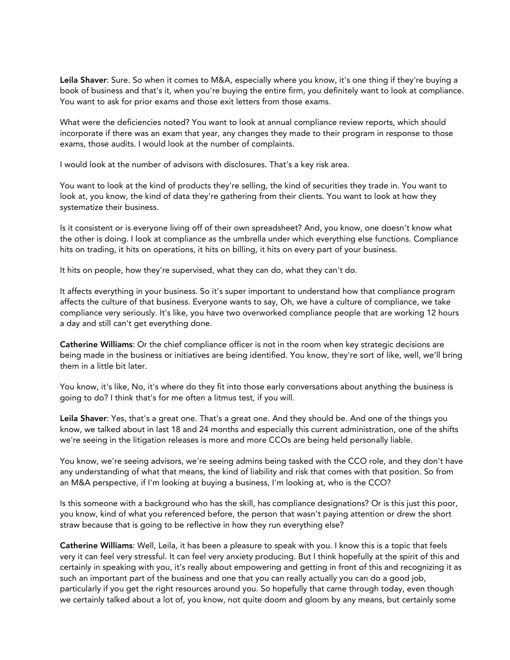Leila Shaver: Sure. So when it comes to M&A, especially where you know, it's one thing if they're buying a book of business and that's it, when you're buying the entire firm, you definitely want to look at compliance. You want to ask for prior exams and those exit letters from those exams.

What were the deficiencies noted? You want to look at annual compliance review reports, which should incorporate if there was an exam that year, any changes they made to their program in response to those exams, those audits. I would look at the number of complaints.

I would look at the number of advisors with disclosures. That's a key risk area.

You want to look at the kind of products they're selling, the kind of securities they trade in. You want to look at, you know, the kind of data they're gathering from their clients. You want to look at how they systematize their business.

Is it consistent or is everyone living off of their own spreadsheet? And, you know, one doesn't know what the other is doing. I look at compliance as the umbrella under which everything else functions. Compliance hits on trading, it hits on operations, it hits on billing, it hits on every part of your business.

It hits on people, how they're supervised, what they can do, what they can't do.

It affects everything in your business. So it's super important to understand how that compliance program affects the culture of that business. Everyone wants to say, Oh, we have a culture of compliance, we take compliance very seriously. It's like, you have two overworked compliance people that are working 12 hours a day and still can't get everything done.

Catherine Williams: Or the chief compliance officer is not in the room when key strategic decisions are being made in the business or initiatives are being identified. You know, they're sort of like, well, we'll bring them in a little bit later.

You know, it's like, No, it's where do they fit into those early conversations about anything the business is going to do? I think that's for me often a litmus test, if you will.

Leila Shaver: Yes, that's a great one. That's a great one. And they should be. And one of the things you know, we talked about in last 18 and 24 months and especially this current administration, one of the shifts we're seeing in the litigation releases is more and more CCOs are being held personally liable.

You know, we're seeing advisors, we're seeing admins being tasked with the CCO role, and they don't have any understanding of what that means, the kind of liability and risk that comes with that position. So from an M&A perspective, if I'm looking at buying a business, I'm looking at, who is the CCO?

Is this someone with a background who has the skill, has compliance designations? Or is this just this poor, you know, kind of what you referenced before, the person that wasn't paying attention or drew the short straw because that is going to be reflective in how they run everything else?

Catherine Williams: Well, Leila, it has been a pleasure to speak with you. I know this is a topic that feels very it can feel very stressful. It can feel very anxiety producing. But I think hopefully at the spirit of this and certainly in speaking with you, it's really about empowering and getting in front of this and recognizing it as such an important part of the business and one that you can really actually you can do a good job, particularly if you get the right resources around you. So hopefully that came through today, even though we certainly talked about a lot of, you know, not quite doom and gloom by any means, but certainly some